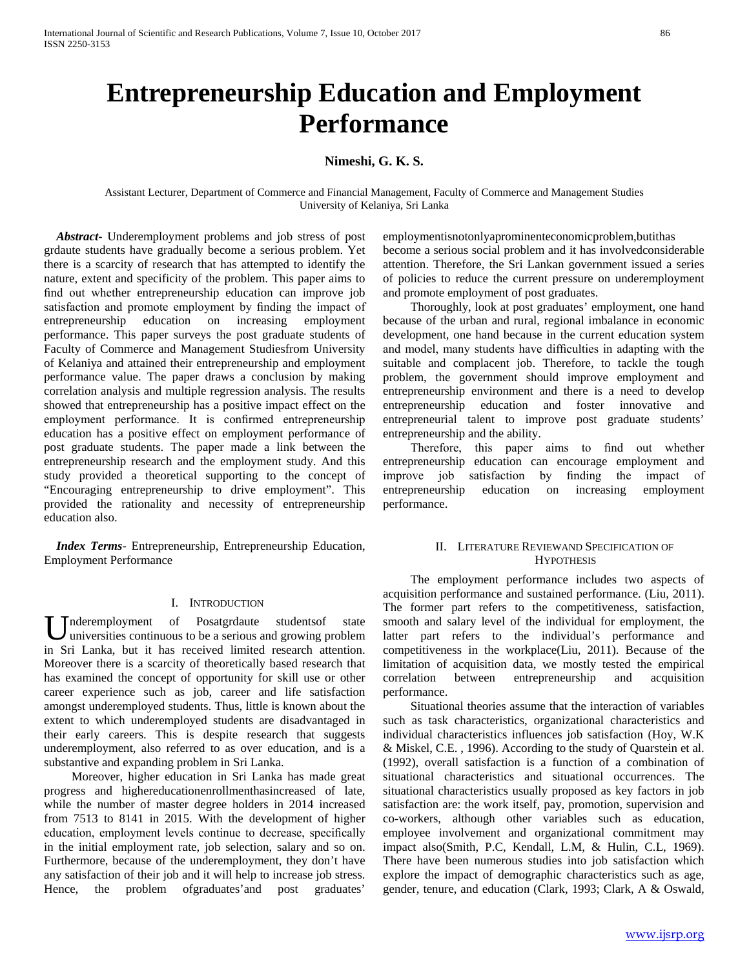# **Entrepreneurship Education and Employment Performance**

# **Nimeshi, G. K. S.**

Assistant Lecturer, Department of Commerce and Financial Management, Faculty of Commerce and Management Studies University of Kelaniya, Sri Lanka

 *Abstract***-** Underemployment problems and job stress of post grdaute students have gradually become a serious problem. Yet there is a scarcity of research that has attempted to identify the nature, extent and specificity of the problem. This paper aims to find out whether entrepreneurship education can improve job satisfaction and promote employment by finding the impact of entrepreneurship education on increasing employment performance. This paper surveys the post graduate students of Faculty of Commerce and Management Studiesfrom University of Kelaniya and attained their entrepreneurship and employment performance value. The paper draws a conclusion by making correlation analysis and multiple regression analysis. The results showed that entrepreneurship has a positive impact effect on the employment performance. It is confirmed entrepreneurship education has a positive effect on employment performance of post graduate students. The paper made a link between the entrepreneurship research and the employment study. And this study provided a theoretical supporting to the concept of "Encouraging entrepreneurship to drive employment". This provided the rationality and necessity of entrepreneurship education also.

 *Index Terms*- Entrepreneurship, Entrepreneurship Education, Employment Performance

# I. INTRODUCTION

nderemployment of Posatgrdaute studentsof state universities continuous to be a serious and growing problem Underemployment of Posatgrdaute studentsof state universities continuous to be a serious and growing problem in Sri Lanka, but it has received limited research attention. Moreover there is a scarcity of theoretically based research that has examined the concept of opportunity for skill use or other career experience such as job, career and life satisfaction amongst underemployed students. Thus, little is known about the extent to which underemployed students are disadvantaged in their early careers. This is despite research that suggests underemployment, also referred to as over education, and is a substantive and expanding problem in Sri Lanka.

 Moreover, higher education in Sri Lanka has made great progress and highereducationenrollmenthasincreased of late, while the number of master degree holders in 2014 increased from 7513 to 8141 in 2015. With the development of higher education, employment levels continue to decrease, specifically in the initial employment rate, job selection, salary and so on. Furthermore, because of the underemployment, they don't have any satisfaction of their job and it will help to increase job stress. Hence, the problem ofgraduates'and post graduates'

employmentisnotonlyaprominenteconomicproblem,butithas become a serious social problem and it has involvedconsiderable attention. Therefore, the Sri Lankan government issued a series of policies to reduce the current pressure on underemployment and promote employment of post graduates.

 Thoroughly, look at post graduates' employment, one hand because of the urban and rural, regional imbalance in economic development, one hand because in the current education system and model, many students have difficulties in adapting with the suitable and complacent job. Therefore, to tackle the tough problem, the government should improve employment and entrepreneurship environment and there is a need to develop entrepreneurship education and foster innovative and entrepreneurial talent to improve post graduate students' entrepreneurship and the ability.

 Therefore, this paper aims to find out whether entrepreneurship education can encourage employment and improve job satisfaction by finding the impact of entrepreneurship education on increasing employment performance.

# II. LITERATURE REVIEWAND SPECIFICATION OF **HYPOTHESIS**

 The employment performance includes two aspects of acquisition performance and sustained performance. (Liu, 2011). The former part refers to the competitiveness, satisfaction, smooth and salary level of the individual for employment, the latter part refers to the individual's performance and competitiveness in the workplace(Liu, 2011). Because of the limitation of acquisition data, we mostly tested the empirical correlation between entrepreneurship and acquisition performance.

 Situational theories assume that the interaction of variables such as task characteristics, organizational characteristics and individual characteristics influences job satisfaction (Hoy, W.K & Miskel, C.E. , 1996). According to the study of Quarstein et al. (1992), overall satisfaction is a function of a combination of situational characteristics and situational occurrences. The situational characteristics usually proposed as key factors in job satisfaction are: the work itself, pay, promotion, supervision and co-workers, although other variables such as education, employee involvement and organizational commitment may impact also(Smith, P.C, Kendall, L.M, & Hulin, C.L, 1969). There have been numerous studies into job satisfaction which explore the impact of demographic characteristics such as age, gender, tenure, and education (Clark, 1993; Clark, A & Oswald,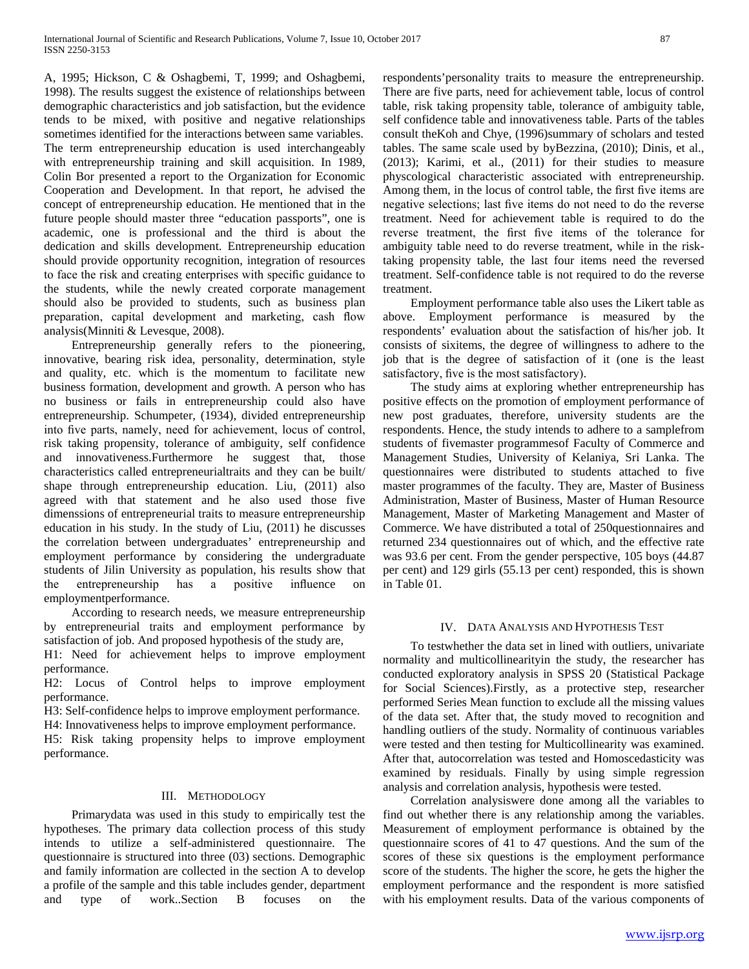A, 1995; Hickson, C & Oshagbemi, T, 1999; and Oshagbemi, 1998). The results suggest the existence of relationships between demographic characteristics and job satisfaction, but the evidence tends to be mixed, with positive and negative relationships sometimes identified for the interactions between same variables. The term entrepreneurship education is used interchangeably with entrepreneurship training and skill acquisition. In 1989, Colin Bor presented a report to the Organization for Economic Cooperation and Development. In that report, he advised the concept of entrepreneurship education. He mentioned that in the future people should master three "education passports", one is academic, one is professional and the third is about the dedication and skills development. Entrepreneurship education should provide opportunity recognition, integration of resources to face the risk and creating enterprises with specific guidance to the students, while the newly created corporate management should also be provided to students, such as business plan preparation, capital development and marketing, cash flow analysis(Minniti & Levesque, 2008).

 Entrepreneurship generally refers to the pioneering, innovative, bearing risk idea, personality, determination, style and quality, etc. which is the momentum to facilitate new business formation, development and growth. A person who has no business or fails in entrepreneurship could also have entrepreneurship. Schumpeter, (1934), divided entrepreneurship into five parts, namely, need for achievement, locus of control, risk taking propensity, tolerance of ambiguity, self confidence and innovativeness.Furthermore he suggest that, those characteristics called entrepreneurialtraits and they can be built/ shape through entrepreneurship education. Liu, (2011) also agreed with that statement and he also used those five dimenssions of entrepreneurial traits to measure entrepreneurship education in his study. In the study of Liu, (2011) he discusses the correlation between undergraduates' entrepreneurship and employment performance by considering the undergraduate students of Jilin University as population, his results show that the entrepreneurship has a positive influence employmentperformance.

 According to research needs, we measure entrepreneurship by entrepreneurial traits and employment performance by satisfaction of job. And proposed hypothesis of the study are,

H1: Need for achievement helps to improve employment performance.

H2: Locus of Control helps to improve employment performance.

H3: Self-confidence helps to improve employment performance.

H4: Innovativeness helps to improve employment performance.

H5: Risk taking propensity helps to improve employment performance.

# III. METHODOLOGY

 Primarydata was used in this study to empirically test the hypotheses. The primary data collection process of this study intends to utilize a self-administered questionnaire. The questionnaire is structured into three (03) sections. Demographic and family information are collected in the section A to develop a profile of the sample and this table includes gender, department and type of work..Section B focuses on the

respondents'personality traits to measure the entrepreneurship. There are five parts, need for achievement table, locus of control table, risk taking propensity table, tolerance of ambiguity table, self confidence table and innovativeness table. Parts of the tables consult theKoh and Chye, (1996)summary of scholars and tested tables. The same scale used by byBezzina, (2010); Dinis, et al., (2013); Karimi, et al., (2011) for their studies to measure physcological characteristic associated with entrepreneurship. Among them, in the locus of control table, the first five items are negative selections; last five items do not need to do the reverse treatment. Need for achievement table is required to do the reverse treatment, the first five items of the tolerance for ambiguity table need to do reverse treatment, while in the risktaking propensity table, the last four items need the reversed treatment. Self-confidence table is not required to do the reverse treatment.

 Employment performance table also uses the Likert table as above. Employment performance is measured by the respondents' evaluation about the satisfaction of his/her job. It consists of sixitems, the degree of willingness to adhere to the job that is the degree of satisfaction of it (one is the least satisfactory, five is the most satisfactory).

 The study aims at exploring whether entrepreneurship has positive effects on the promotion of employment performance of new post graduates, therefore, university students are the respondents. Hence, the study intends to adhere to a samplefrom students of fivemaster programmesof Faculty of Commerce and Management Studies, University of Kelaniya, Sri Lanka. The questionnaires were distributed to students attached to five master programmes of the faculty. They are, Master of Business Administration, Master of Business, Master of Human Resource Management, Master of Marketing Management and Master of Commerce. We have distributed a total of 250questionnaires and returned 234 questionnaires out of which, and the effective rate was 93.6 per cent. From the gender perspective, 105 boys (44.87 per cent) and 129 girls (55.13 per cent) responded, this is shown in Table 01.

# IV. DATA ANALYSIS AND HYPOTHESIS TEST

 To testwhether the data set in lined with outliers, univariate normality and multicollinearityin the study, the researcher has conducted exploratory analysis in SPSS 20 (Statistical Package for Social Sciences).Firstly, as a protective step, researcher performed Series Mean function to exclude all the missing values of the data set. After that, the study moved to recognition and handling outliers of the study. Normality of continuous variables were tested and then testing for Multicollinearity was examined. After that, autocorrelation was tested and Homoscedasticity was examined by residuals. Finally by using simple regression analysis and correlation analysis, hypothesis were tested.

 Correlation analysiswere done among all the variables to find out whether there is any relationship among the variables. Measurement of employment performance is obtained by the questionnaire scores of 41 to 47 questions. And the sum of the scores of these six questions is the employment performance score of the students. The higher the score, he gets the higher the employment performance and the respondent is more satisfied with his employment results. Data of the various components of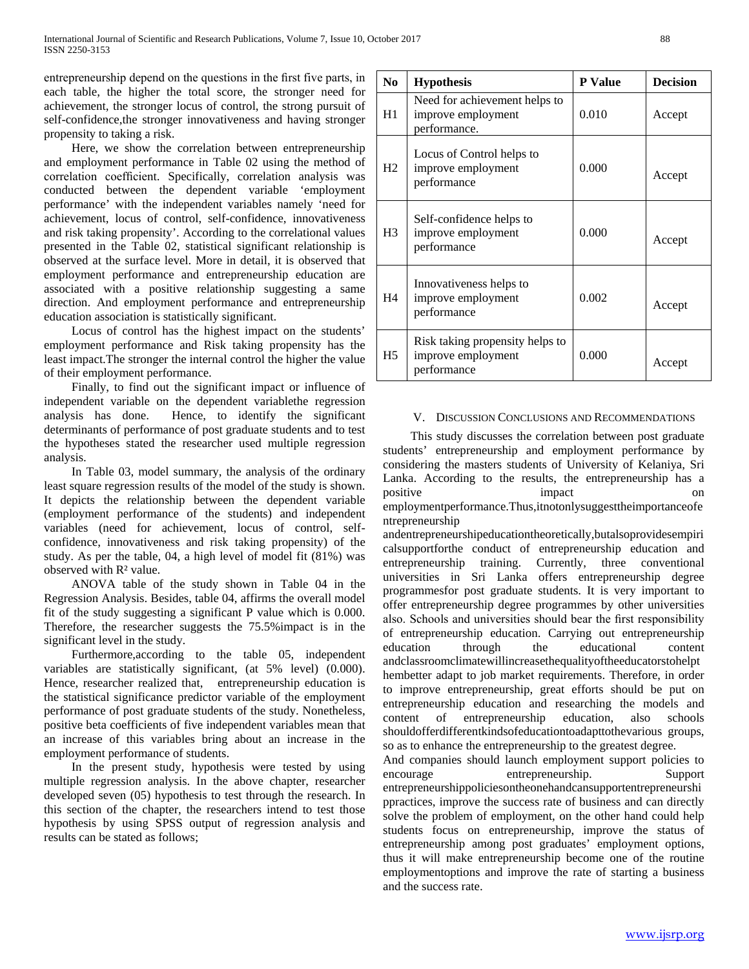entrepreneurship depend on the questions in the first five parts, in each table, the higher the total score, the stronger need for achievement, the stronger locus of control, the strong pursuit of self-confidence,the stronger innovativeness and having stronger propensity to taking a risk.

 Here, we show the correlation between entrepreneurship and employment performance in Table 02 using the method of correlation coefficient. Specifically, correlation analysis was conducted between the dependent variable 'employment performance' with the independent variables namely 'need for achievement, locus of control, self-confidence, innovativeness and risk taking propensity'. According to the correlational values presented in the Table 02, statistical significant relationship is observed at the surface level. More in detail, it is observed that employment performance and entrepreneurship education are associated with a positive relationship suggesting a same direction. And employment performance and entrepreneurship education association is statistically significant.

 Locus of control has the highest impact on the students' employment performance and Risk taking propensity has the least impact.The stronger the internal control the higher the value of their employment performance.

 Finally, to find out the significant impact or influence of independent variable on the dependent variablethe regression analysis has done. Hence, to identify the significant determinants of performance of post graduate students and to test the hypotheses stated the researcher used multiple regression analysis.

 In Table 03, model summary, the analysis of the ordinary least square regression results of the model of the study is shown. It depicts the relationship between the dependent variable (employment performance of the students) and independent variables (need for achievement, locus of control, selfconfidence, innovativeness and risk taking propensity) of the study. As per the table, 04, a high level of model fit (81%) was observed with R² value.

 ANOVA table of the study shown in Table 04 in the Regression Analysis. Besides, table 04, affirms the overall model fit of the study suggesting a significant P value which is 0.000. Therefore, the researcher suggests the 75.5%impact is in the significant level in the study.

 Furthermore,according to the table 05, independent variables are statistically significant, (at 5% level) (0.000). Hence, researcher realized that, entrepreneurship education is the statistical significance predictor variable of the employment performance of post graduate students of the study. Nonetheless, positive beta coefficients of five independent variables mean that an increase of this variables bring about an increase in the employment performance of students.

 In the present study, hypothesis were tested by using multiple regression analysis. In the above chapter, researcher developed seven (05) hypothesis to test through the research. In this section of the chapter, the researchers intend to test those hypothesis by using SPSS output of regression analysis and results can be stated as follows;

| N <sub>0</sub> | <b>Hypothesis</b>                                                    | <b>P</b> Value | <b>Decision</b> |
|----------------|----------------------------------------------------------------------|----------------|-----------------|
| H1             | Need for achievement helps to<br>improve employment<br>performance.  | 0.010          | Accept          |
| H2             | Locus of Control helps to<br>improve employment<br>performance       | 0.000          | Accept          |
| H <sub>3</sub> | Self-confidence helps to<br>improve employment<br>performance        | 0.000          | Accept          |
| H <sub>4</sub> | Innovativeness helps to<br>improve employment<br>performance         | 0.002          | Accept          |
| H5             | Risk taking propensity helps to<br>improve employment<br>performance | 0.000          | Accept          |

# V. DISCUSSION CONCLUSIONS AND RECOMMENDATIONS

 This study discusses the correlation between post graduate students' entrepreneurship and employment performance by considering the masters students of University of Kelaniya, Sri Lanka. According to the results, the entrepreneurship has a positive impact on employmentperformance.Thus,itnotonlysuggesttheimportanceofe ntrepreneurship

andentrepreneurshipeducationtheoretically,butalsoprovidesempiri calsupportforthe conduct of entrepreneurship education and entrepreneurship training. Currently, three conventional universities in Sri Lanka offers entrepreneurship degree programmesfor post graduate students. It is very important to offer entrepreneurship degree programmes by other universities also. Schools and universities should bear the first responsibility of entrepreneurship education. Carrying out entrepreneurship education through the educational content andclassroomclimatewillincreasethequalityoftheeducatorstohelpt hembetter adapt to job market requirements. Therefore, in order to improve entrepreneurship, great efforts should be put on entrepreneurship education and researching the models and content of entrepreneurship education, also schools shouldofferdifferentkindsofeducationtoadapttothevarious groups, so as to enhance the entrepreneurship to the greatest degree.

And companies should launch employment support policies to encourage entrepreneurship. Support entrepreneurshippoliciesontheonehandcansupportentrepreneurshi ppractices, improve the success rate of business and can directly solve the problem of employment, on the other hand could help students focus on entrepreneurship, improve the status of entrepreneurship among post graduates' employment options, thus it will make entrepreneurship become one of the routine employmentoptions and improve the rate of starting a business and the success rate.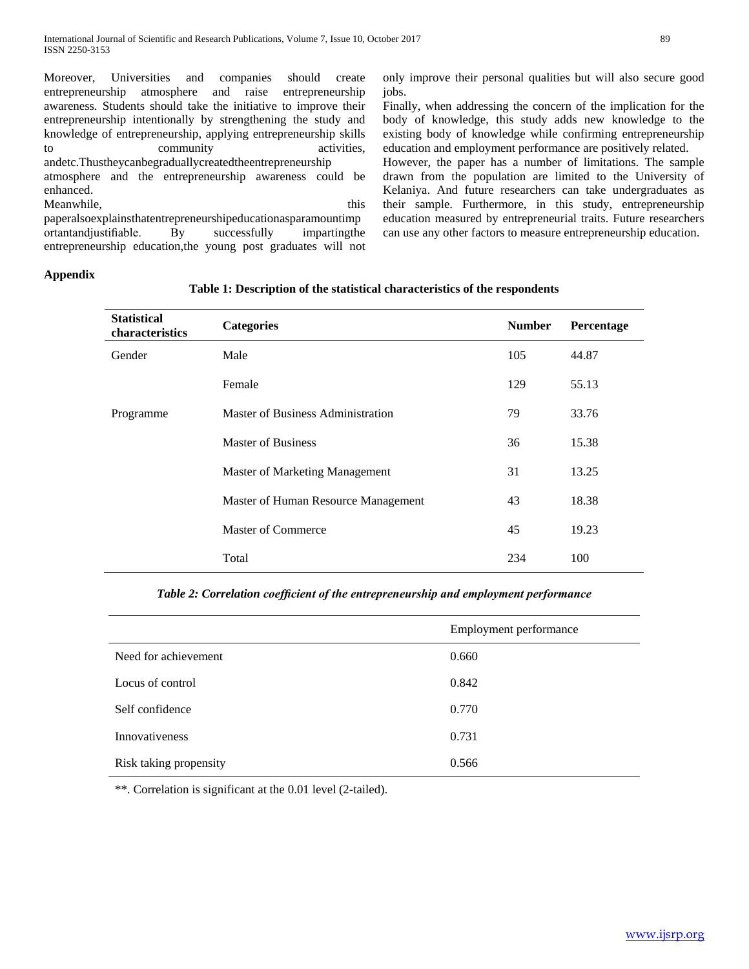Moreover, Universities and companies should create entrepreneurship atmosphere and raise entrepreneurship awareness. Students should take the initiative to improve their entrepreneurship intentionally by strengthening the study and knowledge of entrepreneurship, applying entrepreneurship skills to community activities, andetc.Thustheycanbegraduallycreatedtheentrepreneurship atmosphere and the entrepreneurship awareness could be enhanced. Meanwhile, this

paperalsoexplainsthatentrepreneurshipeducationasparamountimp ortantandjustifiable. By successfully impartingthe entrepreneurship education,the young post graduates will not only improve their personal qualities but will also secure good jobs.

Finally, when addressing the concern of the implication for the body of knowledge, this study adds new knowledge to the existing body of knowledge while confirming entrepreneurship education and employment performance are positively related.

However, the paper has a number of limitations. The sample drawn from the population are limited to the University of Kelaniya. And future researchers can take undergraduates as their sample. Furthermore, in this study, entrepreneurship education measured by entrepreneurial traits. Future researchers can use any other factors to measure entrepreneurship education.

# **Appendix**

| <b>Statistical</b><br>characteristics | <b>Categories</b>                     | <b>Number</b> | Percentage |
|---------------------------------------|---------------------------------------|---------------|------------|
| Gender                                | Male                                  | 105           | 44.87      |
|                                       | Female                                | 129           | 55.13      |
| Programme                             | Master of Business Administration     | 79            | 33.76      |
|                                       | Master of Business                    | 36            | 15.38      |
|                                       | <b>Master of Marketing Management</b> | 31            | 13.25      |
|                                       | Master of Human Resource Management   | 43            | 18.38      |
|                                       | <b>Master of Commerce</b>             | 45            | 19.23      |
|                                       | Total                                 | 234           | 100        |

# **Table 1: Description of the statistical characteristics of the respondents**

*Table 2: Correlation coefficient of the entrepreneurship and employment performance*

|                        | Employment performance |
|------------------------|------------------------|
| Need for achievement   | 0.660                  |
| Locus of control       | 0.842                  |
| Self confidence        | 0.770                  |
| <b>Innovativeness</b>  | 0.731                  |
| Risk taking propensity | 0.566                  |

\*\*. Correlation is significant at the 0.01 level (2-tailed).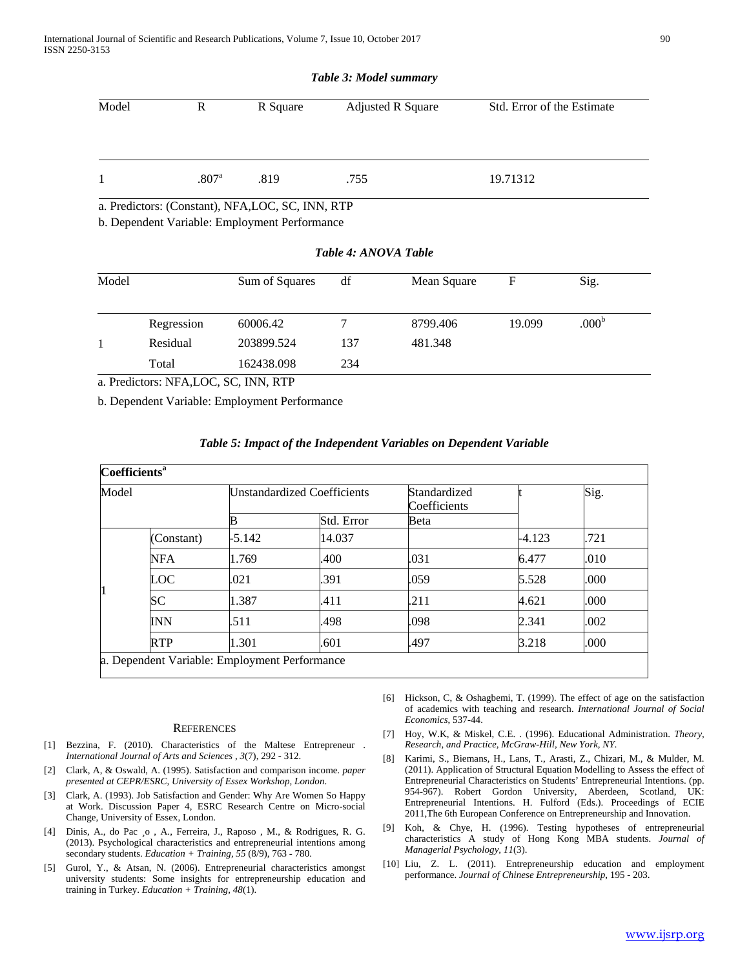|  | Table 3: Model summary |
|--|------------------------|
|--|------------------------|

| Model | R                   | R Square | <b>Adjusted R Square</b> | Std. Error of the Estimate |
|-------|---------------------|----------|--------------------------|----------------------------|
|       | $.807$ <sup>a</sup> | .819     | .755                     | 19.71312                   |

a. Predictors: (Constant), NFA,LOC, SC, INN, RTP

b. Dependent Variable: Employment Performance

|  |  | Table 4: ANOVA Table |
|--|--|----------------------|
|  |  |                      |

| 60006.42   |                                                                                                                                                                                                                                                                                                                                                                                                                                                                                     | 8799.406 | 19.099 | .000 <sup>b</sup> |  |
|------------|-------------------------------------------------------------------------------------------------------------------------------------------------------------------------------------------------------------------------------------------------------------------------------------------------------------------------------------------------------------------------------------------------------------------------------------------------------------------------------------|----------|--------|-------------------|--|
| 203899.524 | 137                                                                                                                                                                                                                                                                                                                                                                                                                                                                                 | 481.348  |        |                   |  |
| 162438.098 | 234                                                                                                                                                                                                                                                                                                                                                                                                                                                                                 |          |        |                   |  |
|            | $\blacksquare$ D. $\blacksquare$ $\blacksquare$ $\blacksquare$ $\blacksquare$ $\blacksquare$ $\blacksquare$ $\blacksquare$ $\blacksquare$ $\blacksquare$ $\blacksquare$ $\blacksquare$ $\blacksquare$ $\blacksquare$ $\blacksquare$ $\blacksquare$ $\blacksquare$ $\blacksquare$ $\blacksquare$ $\blacksquare$ $\blacksquare$ $\blacksquare$ $\blacksquare$ $\blacksquare$ $\blacksquare$ $\blacksquare$ $\blacksquare$ $\blacksquare$ $\blacksquare$ $\blacksquare$ $\blacksquare$ |          |        |                   |  |

a. Predictors: NFA,LOC, SC, INN, RTP

b. Dependent Variable: Employment Performance

| <b>Coefficients<sup>a</sup></b> |                                               |          |                                    |                              |          |      |
|---------------------------------|-----------------------------------------------|----------|------------------------------------|------------------------------|----------|------|
| Model                           |                                               |          | <b>Unstandardized Coefficients</b> | Standardized<br>Coefficients |          | Sig. |
|                                 |                                               |          | Std. Error                         | Beta                         |          |      |
| 1                               | (Constant)                                    | $-5.142$ | 14.037                             |                              | $-4.123$ | .721 |
|                                 | <b>NFA</b>                                    | 1.769    | .400                               | .031                         | 6.477    | .010 |
|                                 | LOC                                           | .021     | .391                               | .059                         | 5.528    | .000 |
|                                 | SС                                            | 1.387    | .411                               | .211                         | 4.621    | .000 |
|                                 | <b>INN</b>                                    | .511     | .498                               | .098                         | 2.341    | .002 |
|                                 | <b>RTP</b>                                    | 1.301    | .601                               | .497                         | 3.218    | .000 |
|                                 | la Denendent Variable: Employment Performance |          |                                    |                              |          |      |

### *Table 5: Impact of the Independent Variables on Dependent Variable*

variable: Employment Performance

#### **REFERENCES**

- [1] Bezzina, F. (2010). Characteristics of the Maltese Entrepreneur . *International Journal of Arts and Sciences , 3*(7), 292 - 312.
- [2] Clark, A, & Oswald, A. (1995). Satisfaction and comparison income. *paper presented at CEPR/ESRC, University of Essex Workshop, London*.
- [3] Clark, A. (1993). Job Satisfaction and Gender: Why Are Women So Happy at Work. Discussion Paper 4, ESRC Research Centre on Micro-social Change, University of Essex, London.
- [4] Dinis, A., do Pac ¸o , A., Ferreira, J., Raposo , M., & Rodrigues, R. G. (2013). Psychological characteristics and entrepreneurial intentions among secondary students. *Education + Training, 55* (8/9), 763 - 780.
- [5] Gurol, Y., & Atsan, N. (2006). Entrepreneurial characteristics amongst university students: Some insights for entrepreneurship education and training in Turkey. *Education + Training, 48*(1).
- [6] Hickson, C, & Oshagbemi, T. (1999). The effect of age on the satisfaction of academics with teaching and research. *International Journal of Social Economics*, 537-44.
- [7] Hoy, W.K, & Miskel, C.E. . (1996). Educational Administration. *Theory, Research, and Practice, McGraw-Hill, New York, NY.*
- [8] Karimi, S., Biemans, H., Lans, T., Arasti, Z., Chizari, M., & Mulder, M. (2011). Application of Structural Equation Modelling to Assess the effect of Entrepreneurial Characteristics on Students' Entrepreneurial Intentions. (pp. 954-967). Robert Gordon University, Aberdeen, Scotland, UK: Entrepreneurial Intentions. H. Fulford (Eds.). Proceedings of ECIE 2011,The 6th European Conference on Entrepreneurship and Innovation.
- [9] Koh, & Chye, H. (1996). Testing hypotheses of entrepreneurial characteristics A study of Hong Kong MBA students. *Journal of Managerial Psychology, 11*(3).
- [10] Liu, Z. L. (2011). Entrepreneurship education and employment performance. *Journal of Chinese Entrepreneurship*, 195 - 203.